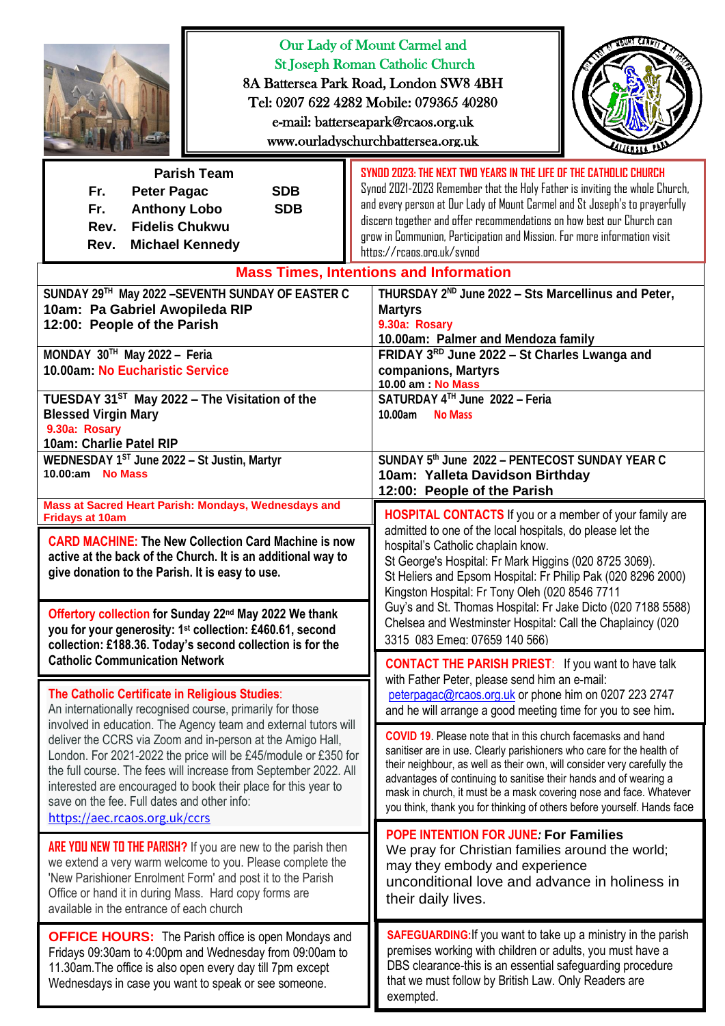|                                                                                                                                                                                                                                                                                                                                                                                                                       | Our Lady of Mount Carmel and<br><b>St Joseph Roman Catholic Church</b><br>8A Battersea Park Road, London SW8 4BH<br>Tel: 0207 622 4282 Mobile: 079365 40280<br>e-mail: batterseapark@rcaos.org.uk<br>www.ourladyschurchbattersea.org.uk                                                                                                                                                                                                                                     |
|-----------------------------------------------------------------------------------------------------------------------------------------------------------------------------------------------------------------------------------------------------------------------------------------------------------------------------------------------------------------------------------------------------------------------|-----------------------------------------------------------------------------------------------------------------------------------------------------------------------------------------------------------------------------------------------------------------------------------------------------------------------------------------------------------------------------------------------------------------------------------------------------------------------------|
| <b>Parish Team</b><br><b>SDB</b><br>Fr.<br><b>Peter Pagac</b><br><b>SDB</b><br>Fr.<br><b>Anthony Lobo</b><br><b>Fidelis Chukwu</b><br>Rev.<br><b>Michael Kennedy</b><br>Rev.                                                                                                                                                                                                                                          | SYNDD 2023: THE NEXT TWO YEARS IN THE LIFE OF THE CATHOLIC CHURCH<br>Synod 2021-2023 Remember that the Holy Father is inviting the whole Church,<br>and every person at Our Lady of Mount Carmel and St Joseph's to prayerfully<br>discern together and offer recommendations on how best our Church can<br>grow in Communion, Participation and Mission. For more information visit<br>https://rcaps.org.uk/synod                                                          |
| SUNDAY 29TH May 2022 - SEVENTH SUNDAY OF EASTER C<br>10am: Pa Gabriel Awopileda RIP<br>12:00: People of the Parish<br>MONDAY 30TH May 2022 - Feria<br>10.00am: No Eucharistic Service                                                                                                                                                                                                                                 | <b>Mass Times, Intentions and Information</b><br>THURSDAY 2 <sup>ND</sup> June 2022 - Sts Marcellinus and Peter,<br><b>Martyrs</b><br>9.30a: Rosary<br>10.00am: Palmer and Mendoza family<br>FRIDAY 3RD June 2022 - St Charles Lwanga and<br>companions, Martyrs<br>10.00 am : No Mass                                                                                                                                                                                      |
| TUESDAY 31 <sup>ST</sup> May 2022 - The Visitation of the<br><b>Blessed Virgin Mary</b><br>9.30a: Rosary<br>10am: Charlie Patel RIP<br>WEDNESDAY 1ST June 2022 - St Justin, Martyr<br>10.00:am No Mass                                                                                                                                                                                                                | SATURDAY 4TH June 2022 - Feria<br>10.00am No Mass<br>SUNDAY 5th June 2022 - PENTECOST SUNDAY YEAR C<br>10am: Yalleta Davidson Birthday<br>12:00: People of the Parish                                                                                                                                                                                                                                                                                                       |
| Mass at Sacred Heart Parish: Mondays, Wednesdays and<br><b>Fridays at 10am</b><br><b>CARD MACHINE: The New Collection Card Machine is now</b><br>active at the back of the Church. It is an additional way to<br>give donation to the Parish. It is easy to use.<br>Offertory collection for Sunday 22 <sup>nd</sup> May 2022 We thank<br>you for your generosity: 1 <sup>st</sup> collection: £460.61, second        | <b>HOSPITAL CONTACTS</b> If you or a member of your family are<br>admitted to one of the local hospitals, do please let the<br>hospital's Catholic chaplain know.<br>St George's Hospital: Fr Mark Higgins (020 8725 3069).<br>St Heliers and Epsom Hospital: Fr Philip Pak (020 8296 2000)<br>Kingston Hospital: Fr Tony Oleh (020 8546 7711<br>Guy's and St. Thomas Hospital: Fr Jake Dicto (020 7188 5588)<br>Chelsea and Westminster Hospital: Call the Chaplaincy (020 |
| collection: £188.36. Today's second collection is for the<br><b>Catholic Communication Network</b><br>The Catholic Certificate in Religious Studies:<br>An internationally recognised course, primarily for those                                                                                                                                                                                                     | 3315 083 Emeg: 07659 140 566)<br><b>CONTACT THE PARISH PRIEST:</b> If you want to have talk<br>with Father Peter, please send him an e-mail:<br>peterpagac@rcaos.org.uk or phone him on 0207 223 2747<br>and he will arrange a good meeting time for you to see him.                                                                                                                                                                                                        |
| involved in education. The Agency team and external tutors will<br>deliver the CCRS via Zoom and in-person at the Amigo Hall,<br>London. For 2021-2022 the price will be £45/module or £350 for<br>the full course. The fees will increase from September 2022. All<br>interested are encouraged to book their place for this year to<br>save on the fee. Full dates and other info:<br>https://aec.rcaos.org.uk/ccrs | <b>COVID 19.</b> Please note that in this church facemasks and hand<br>sanitiser are in use. Clearly parishioners who care for the health of<br>their neighbour, as well as their own, will consider very carefully the<br>advantages of continuing to sanitise their hands and of wearing a<br>mask in church, it must be a mask covering nose and face. Whatever<br>you think, thank you for thinking of others before yourself. Hands face                               |
| <b>ARE YOU NEW TO THE PARISH?</b> If you are new to the parish then<br>we extend a very warm welcome to you. Please complete the<br>'New Parishioner Enrolment Form' and post it to the Parish<br>Office or hand it in during Mass. Hard copy forms are<br>available in the entrance of each church                                                                                                                   | <b>POPE INTENTION FOR JUNE: For Families</b><br>We pray for Christian families around the world;<br>may they embody and experience<br>unconditional love and advance in holiness in<br>their daily lives.                                                                                                                                                                                                                                                                   |
| <b>OFFICE HOURS:</b> The Parish office is open Mondays and<br>Fridays 09:30am to 4:00pm and Wednesday from 09:00am to<br>11.30am. The office is also open every day till 7pm except<br>Wednesdays in case you want to speak or see someone.                                                                                                                                                                           | <b>SAFEGUARDING: If you want to take up a ministry in the parish</b><br>premises working with children or adults, you must have a<br>DBS clearance-this is an essential safeguarding procedure<br>that we must follow by British Law. Only Readers are<br>exempted.                                                                                                                                                                                                         |